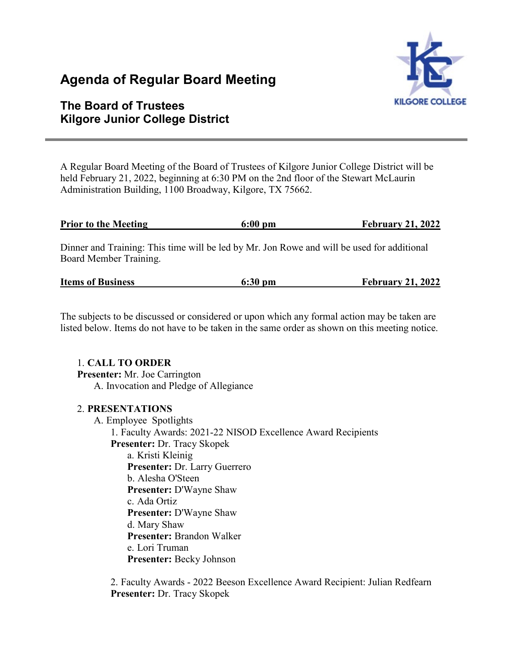# **Agenda of Regular Board Meeting**



## **The Board of Trustees Kilgore Junior College District**

A Regular Board Meeting of the Board of Trustees of Kilgore Junior College District will be held February 21, 2022, beginning at 6:30 PM on the 2nd floor of the Stewart McLaurin Administration Building, 1100 Broadway, Kilgore, TX 75662.

| <b>Prior to the Meeting</b> | $6:00$ pm | <b>February 21, 2022</b> |
|-----------------------------|-----------|--------------------------|
|                             |           |                          |

Dinner and Training: This time will be led by Mr. Jon Rowe and will be used for additional Board Member Training.

| <b>Items of Business</b><br><b>February 21, 2022</b><br>$6:30$ pm |
|-------------------------------------------------------------------|
|-------------------------------------------------------------------|

The subjects to be discussed or considered or upon which any formal action may be taken are listed below. Items do not have to be taken in the same order as shown on this meeting notice.

#### 1. **CALL TO ORDER**

**Presenter:** Mr. Joe Carrington A. Invocation and Pledge of Allegiance

#### 2. **PRESENTATIONS**

A. Employee Spotlights 1. Faculty Awards: 2021-22 NISOD Excellence Award Recipients **Presenter:** Dr. Tracy Skopek a. Kristi Kleinig **Presenter:** Dr. Larry Guerrero

b. Alesha O'Steen

**Presenter:** D'Wayne Shaw

c. Ada Ortiz

**Presenter:** D'Wayne Shaw

d. Mary Shaw

**Presenter:** Brandon Walker e. Lori Truman **Presenter:** Becky Johnson

2. Faculty Awards - 2022 Beeson Excellence Award Recipient: Julian Redfearn **Presenter:** Dr. Tracy Skopek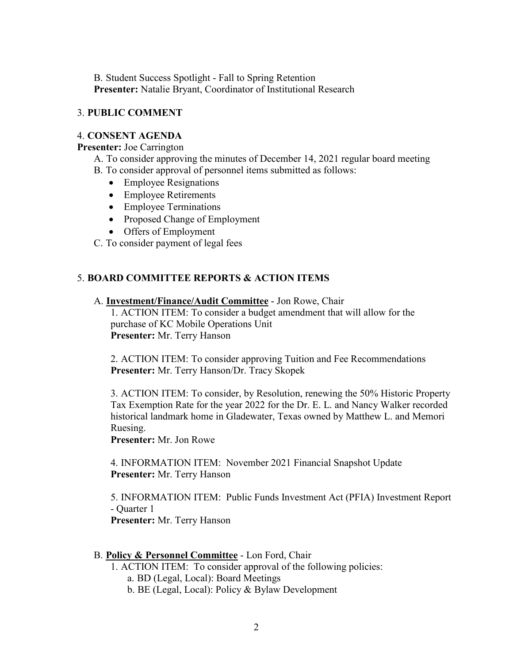B. Student Success Spotlight - Fall to Spring Retention **Presenter:** Natalie Bryant, Coordinator of Institutional Research

### 3. **PUBLIC COMMENT**

#### 4. **CONSENT AGENDA**

#### **Presenter:** Joe Carrington

- A. To consider approving the minutes of December 14, 2021 regular board meeting
- B. To consider approval of personnel items submitted as follows:
	- Employee Resignations
	- Employee Retirements
	- Employee Terminations
	- Proposed Change of Employment
	- Offers of Employment
- C. To consider payment of legal fees

#### 5. **BOARD COMMITTEE REPORTS & ACTION ITEMS**

#### A. **Investment/Finance/Audit Committee** - Jon Rowe, Chair

1. ACTION ITEM: To consider a budget amendment that will allow for the purchase of KC Mobile Operations Unit **Presenter:** Mr. Terry Hanson

2. ACTION ITEM: To consider approving Tuition and Fee Recommendations **Presenter:** Mr. Terry Hanson/Dr. Tracy Skopek

3. ACTION ITEM: To consider, by Resolution, renewing the 50% Historic Property Tax Exemption Rate for the year 2022 for the Dr. E. L. and Nancy Walker recorded historical landmark home in Gladewater, Texas owned by Matthew L. and Memori Ruesing.

**Presenter:** Mr. Jon Rowe

4. INFORMATION ITEM: November 2021 Financial Snapshot Update **Presenter:** Mr. Terry Hanson

5. INFORMATION ITEM: Public Funds Investment Act (PFIA) Investment Report - Quarter 1

**Presenter:** Mr. Terry Hanson

#### B. **Policy & Personnel Committee** - Lon Ford, Chair

1. ACTION ITEM: To consider approval of the following policies: a. BD (Legal, Local): Board Meetings

b. BE (Legal, Local): Policy & Bylaw Development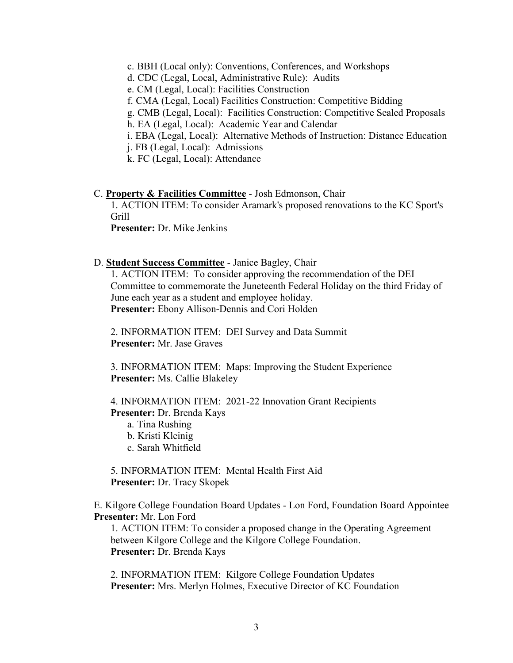- c. BBH (Local only): Conventions, Conferences, and Workshops
- d. CDC (Legal, Local, Administrative Rule): Audits
- e. CM (Legal, Local): Facilities Construction
- f. CMA (Legal, Local) Facilities Construction: Competitive Bidding
- g. CMB (Legal, Local): Facilities Construction: Competitive Sealed Proposals
- h. EA (Legal, Local): Academic Year and Calendar
- i. EBA (Legal, Local): Alternative Methods of Instruction: Distance Education
- j. FB (Legal, Local): Admissions
- k. FC (Legal, Local): Attendance

#### C. **Property & Facilities Committee** - Josh Edmonson, Chair

1. ACTION ITEM: To consider Aramark's proposed renovations to the KC Sport's Grill

**Presenter:** Dr. Mike Jenkins

#### D. **Student Success Committee** - Janice Bagley, Chair

1. ACTION ITEM: To consider approving the recommendation of the DEI Committee to commemorate the Juneteenth Federal Holiday on the third Friday of June each year as a student and employee holiday. **Presenter:** Ebony Allison-Dennis and Cori Holden

2. INFORMATION ITEM: DEI Survey and Data Summit **Presenter:** Mr. Jase Graves

3. INFORMATION ITEM: Maps: Improving the Student Experience **Presenter:** Ms. Callie Blakeley

4. INFORMATION ITEM: 2021-22 Innovation Grant Recipients **Presenter:** Dr. Brenda Kays

- a. Tina Rushing
- b. Kristi Kleinig
- c. Sarah Whitfield

5. INFORMATION ITEM: Mental Health First Aid **Presenter:** Dr. Tracy Skopek

E. Kilgore College Foundation Board Updates - Lon Ford, Foundation Board Appointee **Presenter:** Mr. Lon Ford

1. ACTION ITEM: To consider a proposed change in the Operating Agreement between Kilgore College and the Kilgore College Foundation. **Presenter:** Dr. Brenda Kays

2. INFORMATION ITEM: Kilgore College Foundation Updates **Presenter:** Mrs. Merlyn Holmes, Executive Director of KC Foundation